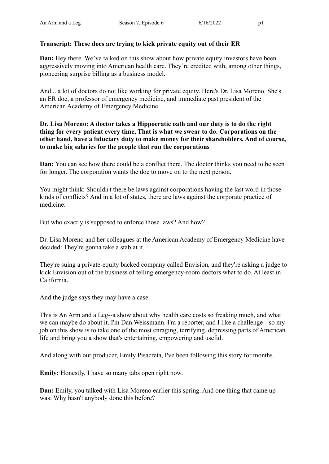# **Transcript: These docs are trying to kick private equity out of their ER**

**Dan:** Hey there. We've talked on this show about how private equity investors have been aggressively moving into American health care. They're credited with, among other things, pioneering surprise billing as a business model.

And... a lot of doctors do not like working for private equity. Here's Dr. Lisa Moreno. She's an ER doc, a professor of emergency medicine, and immediate past president of the American Academy of Emergency Medicine.

### **Dr. Lisa Moreno: A doctor takes a Hippocratic oath and our duty is to do the right thing for every patient every time, That is what we swear to do. Corporations on the other hand, have a fiduciary duty to make money for their shareholders. And of course, to make big salaries for the people that run the corporations**

**Dan:** You can see how there could be a conflict there. The doctor thinks you need to be seen for longer. The corporation wants the doc to move on to the next person.

You might think: Shouldn't there be laws against corporations having the last word in those kinds of conflicts? And in a lot of states, there are laws against the corporate practice of medicine.

But who exactly is supposed to enforce those laws? And how?

Dr. Lisa Moreno and her colleagues at the American Academy of Emergency Medicine have decided: They're gonna take a stab at it.

They're suing a private-equity backed company called Envision, and they're asking a judge to kick Envision out of the business of telling emergency-room doctors what to do. At least in California.

And the judge says they may have a case.

This is An Arm and a Leg--a show about why health care costs so freaking much, and what we can maybe do about it. I'm Dan Weissmann. I'm a reporter, and I like a challenge-- so my job on this show is to take one of the most enraging, terrifying, depressing parts of American life and bring you a show that's entertaining, empowering and useful.

And along with our producer, Emily Pisacreta, I've been following this story for months.

**Emily:** Honestly, I have so many tabs open right now.

**Dan:** Emily, you talked with Lisa Moreno earlier this spring. And one thing that came up was: Why hasn't anybody done this before?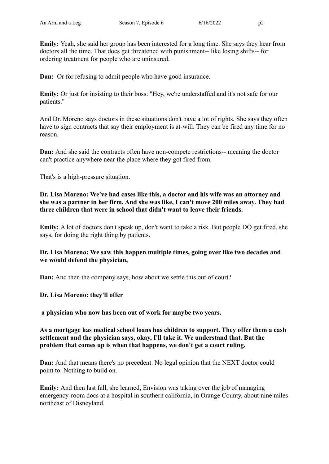**Emily:** Yeah, she said her group has been interested for a long time. She says they hear from doctors all the time. That docs get threatened with punishment-- like losing shifts-- for ordering treatment for people who are uninsured.

**Dan:** Or for refusing to admit people who have good insurance.

**Emily:** Or just for insisting to their boss: "Hey, we're understaffed and it's not safe for our patients."

And Dr. Moreno says doctors in these situations don't have a lot of rights. She says they often have to sign contracts that say their employment is at-will. They can be fired any time for no reason.

**Dan:** And she said the contracts often have non-compete restrictions-- meaning the doctor can't practice anywhere near the place where they got fired from.

That's is a high-pressure situation.

**Dr. Lisa Moreno: We've had cases like this, a doctor and his wife was an attorney and she was a partner in her firm. And she was like, I can't move 200 miles away. They had three children that were in school that didn't want to leave their friends.**

**Emily:** A lot of doctors don't speak up, don't want to take a risk. But people DO get fired, she says, for doing the right thing by patients.

# **Dr. Lisa Moreno: We saw this happen multiple times, going over like two decades and we would defend the physician,**

**Dan:** And then the company says, how about we settle this out of court?

# **Dr. Lisa Moreno: they'll offer**

**a physician who now has been out of work for maybe two years.**

**As a mortgage has medical school loans has children to support. They offer them a cash settlement and the physician says, okay, I'll take it. We understand that. But the problem that comes up is when that happens, we don't get a court ruling.**

**Dan:** And that means there's no precedent. No legal opinion that the NEXT doctor could point to. Nothing to build on.

**Emily:** And then last fall, she learned, Envision was taking over the job of managing emergency-room docs at a hospital in southern california, in Orange County, about nine miles northeast of Disneyland.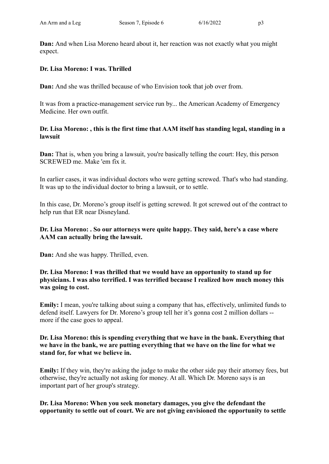**Dan:** And when Lisa Moreno heard about it, her reaction was not exactly what you might expect.

# **Dr. Lisa Moreno: I was. Thrilled**

**Dan:** And she was thrilled because of who Envision took that job over from.

It was from a practice-management service run by... the American Academy of Emergency Medicine. Her own outfit.

### **Dr. Lisa Moreno: , this is the first time that AAM itself has standing legal, standing in a lawsuit**

**Dan:** That is, when you bring a lawsuit, you're basically telling the court: Hey, this person SCREWED me. Make 'em fix it.

In earlier cases, it was individual doctors who were getting screwed. That's who had standing. It was up to the individual doctor to bring a lawsuit, or to settle.

In this case, Dr. Moreno's group itself is getting screwed. It got screwed out of the contract to help run that ER near Disneyland.

# **Dr. Lisa Moreno: . So our attorneys were quite happy. They said, here's a case where AAM can actually bring the lawsuit.**

**Dan:** And she was happy. Thrilled, even.

**Dr. Lisa Moreno: I was thrilled that we would have an opportunity to stand up for physicians. I was also terrified. I was terrified because I realized how much money this was going to cost.**

**Emily:** I mean, you're talking about suing a company that has, effectively, unlimited funds to defend itself. Lawyers for Dr. Moreno's group tell her it's gonna cost 2 million dollars - more if the case goes to appeal.

### **Dr. Lisa Moreno: this is spending everything that we have in the bank. Everything that we have in the bank, we are putting everything that we have on the line for what we stand for, for what we believe in.**

**Emily:** If they win, they're asking the judge to make the other side pay their attorney fees, but otherwise, they're actually not asking for money. At all. Which Dr. Moreno says is an important part of her group's strategy.

# **Dr. Lisa Moreno: When you seek monetary damages, you give the defendant the opportunity to settle out of court. We are not giving envisioned the opportunity to settle**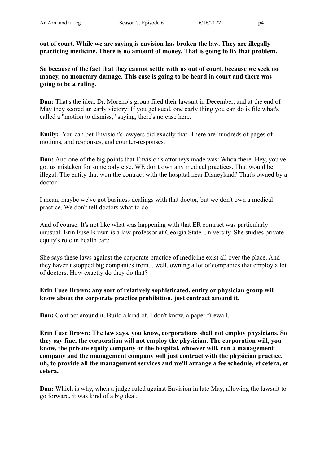**out of court. While we are saying is envision has broken the law. They are illegally practicing medicine. There is no amount of money. That is going to fix that problem.**

**So because of the fact that they cannot settle with us out of court, because we seek no money, no monetary damage. This case is going to be heard in court and there was going to be a ruling.**

**Dan:** That's the idea. Dr. Moreno's group filed their lawsuit in December, and at the end of May they scored an early victory: If you get sued, one early thing you can do is file what's called a "motion to dismiss," saying, there's no case here.

**Emily:** You can bet Envision's lawyers did exactly that. There are hundreds of pages of motions, and responses, and counter-responses.

**Dan:** And one of the big points that Envision's attorneys made was: Whoa there. Hey, you've got us mistaken for somebody else. WE don't own any medical practices. That would be illegal. The entity that won the contract with the hospital near Disneyland? That's owned by a doctor.

I mean, maybe we've got business dealings with that doctor, but we don't own a medical practice. We don't tell doctors what to do.

And of course. It's not like what was happening with that ER contract was particularly unusual. Erin Fuse Brown is a law professor at Georgia State University. She studies private equity's role in health care.

She says these laws against the corporate practice of medicine exist all over the place. And they haven't stopped big companies from... well, owning a lot of companies that employ a lot of doctors. How exactly do they do that?

### **Erin Fuse Brown: any sort of relatively sophisticated, entity or physician group will know about the corporate practice prohibition, just contract around it.**

**Dan:** Contract around it. Build a kind of, I don't know, a paper firewall.

**Erin Fuse Brown: The law says, you know, corporations shall not employ physicians. So they say fine, the corporation will not employ the physician. The corporation will, you know, the private equity company or the hospital, whoever will. run a management company and the management company will just contract with the physician practice, uh, to provide all the management services and we'll arrange a fee schedule, et cetera, et cetera.**

**Dan:** Which is why, when a judge ruled against Envision in late May, allowing the lawsuit to go forward, it was kind of a big deal.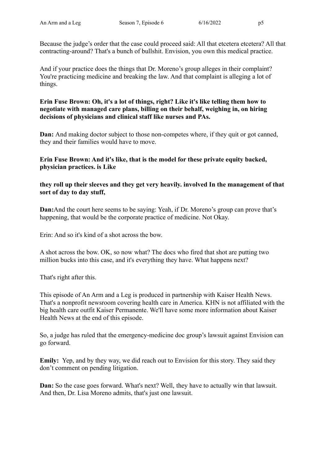Because the judge's order that the case could proceed said: All that etcetera etcetera? All that contracting-around? That's a bunch of bullshit. Envision, you own this medical practice.

And if your practice does the things that Dr. Moreno's group alleges in their complaint? You're practicing medicine and breaking the law. And that complaint is alleging a lot of things.

### **Erin Fuse Brown: Oh, it's a lot of things, right? Like it's like telling them how to negotiate with managed care plans, billing on their behalf, weighing in, on hiring decisions of physicians and clinical staff like nurses and PAs.**

**Dan:** And making doctor subject to those non-competes where, if they quit or got canned, they and their families would have to move.

# **Erin Fuse Brown: And it's like, that is the model for these private equity backed, physician practices. is Like**

### **they roll up their sleeves and they get very heavily. involved In the management of that sort of day to day stuff,**

**Dan:**And the court here seems to be saying: Yeah, if Dr. Moreno's group can prove that's happening, that would be the corporate practice of medicine. Not Okay.

Erin: And so it's kind of a shot across the bow.

A shot across the bow. OK, so now what? The docs who fired that shot are putting two million bucks into this case, and it's everything they have. What happens next?

That's right after this.

This episode of An Arm and a Leg is produced in partnership with Kaiser Health News. That's a nonprofit newsroom covering health care in America. KHN is not affiliated with the big health care outfit Kaiser Permanente. We'll have some more information about Kaiser Health News at the end of this episode.

So, a judge has ruled that the emergency-medicine doc group's lawsuit against Envision can go forward.

**Emily:** Yep, and by they way, we did reach out to Envision for this story. They said they don't comment on pending litigation.

**Dan:** So the case goes forward. What's next? Well, they have to actually win that lawsuit. And then, Dr. Lisa Moreno admits, that's just one lawsuit.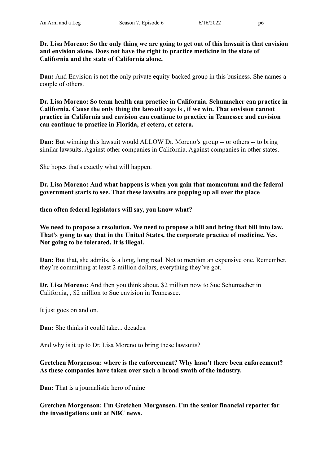**Dr. Lisa Moreno: So the only thing we are going to get out of this lawsuit is that envision and envision alone. Does not have the right to practice medicine in the state of California and the state of California alone.**

**Dan:** And Envision is not the only private equity-backed group in this business. She names a couple of others.

**Dr. Lisa Moreno: So team health can practice in California. Schumacher can practice in California. Cause the only thing the lawsuit says is , if we win. That envision cannot practice in California and envision can continue to practice in Tennessee and envision can continue to practice in Florida, et cetera, et cetera.**

**Dan:** But winning this lawsuit would ALLOW Dr. Moreno's group -- or others -- to bring similar lawsuits. Against other companies in California. Against companies in other states.

She hopes that's exactly what will happen.

**Dr. Lisa Moreno: And what happens is when you gain that momentum and the federal government starts to see. That these lawsuits are popping up all over the place**

**then often federal legislators will say, you know what?**

**We need to propose a resolution. We need to propose a bill and bring that bill into law. That's going to say that in the United States, the corporate practice of medicine. Yes. Not going to be tolerated. It is illegal.**

**Dan:** But that, she admits, is a long, long road. Not to mention an expensive one. Remember, they're committing at least 2 million dollars, everything they've got.

**Dr. Lisa Moreno:** And then you think about. \$2 million now to Sue Schumacher in California, , \$2 million to Sue envision in Tennessee.

It just goes on and on.

**Dan:** She thinks it could take... decades.

And why is it up to Dr. Lisa Moreno to bring these lawsuits?

# **Gretchen Morgenson: where is the enforcement? Why hasn't there been enforcement? As these companies have taken over such a broad swath of the industry.**

**Dan:** That is a journalistic hero of mine

**Gretchen Morgenson: I'm Gretchen Morgansen. I'm the senior financial reporter for the investigations unit at NBC news.**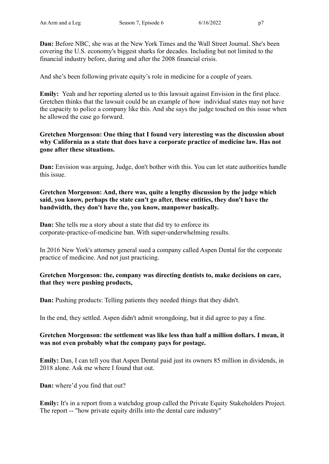**Dan:** Before NBC, she was at the New York Times and the Wall Street Journal. She's been covering the U.S. economy's biggest sharks for decades. Including but not limited to the financial industry before, during and after the 2008 financial crisis.

And she's been following private equity's role in medicine for a couple of years.

**Emily:** Yeah and her reporting alerted us to this lawsuit against Envision in the first place. Gretchen thinks that the lawsuit could be an example of how individual states may not have the capacity to police a company like this. And she says the judge touched on this issue when he allowed the case go forward.

# **Gretchen Morgenson: One thing that I found very interesting was the discussion about why California as a state that does have a corporate practice of medicine law. Has not gone after these situations.**

**Dan:** Envision was arguing, Judge, don't bother with this. You can let state authorities handle this issue.

# **Gretchen Morgenson: And, there was, quite a lengthy discussion by the judge which said, you know, perhaps the state can't go after, these entities, they don't have the bandwidth, they don't have the, you know, manpower basically.**

**Dan:** She tells me a story about a state that did try to enforce its corporate-practice-of-medicine ban. With super-underwhelming results.

In 2016 New York's attorney general sued a company called Aspen Dental for the corporate practice of medicine. And not just practicing.

# **Gretchen Morgenson: the, company was directing dentists to, make decisions on care, that they were pushing products,**

**Dan:** Pushing products: Telling patients they needed things that they didn't.

In the end, they settled. Aspen didn't admit wrongdoing, but it did agree to pay a fine.

# **Gretchen Morgenson: the settlement was like less than half a million dollars. I mean, it was not even probably what the company pays for postage.**

**Emily:** Dan, I can tell you that Aspen Dental paid just its owners 85 million in dividends, in 2018 alone. Ask me where I found that out.

**Dan:** where'd you find that out?

**Emily:** It's in a report from a watchdog group called the Private Equity Stakeholders Project. The report -- "how private equity drills into the dental care industry"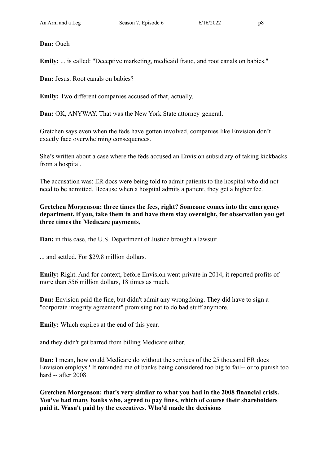**Dan:** Ouch

**Emily:** ... is called: "Deceptive marketing, medicaid fraud, and root canals on babies."

**Dan:** Jesus. Root canals on babies?

**Emily:** Two different companies accused of that, actually.

**Dan:** OK, ANYWAY. That was the New York State attorney general.

Gretchen says even when the feds have gotten involved, companies like Envision don't exactly face overwhelming consequences.

She's written about a case where the feds accused an Envision subsidiary of taking kickbacks from a hospital.

The accusation was: ER docs were being told to admit patients to the hospital who did not need to be admitted. Because when a hospital admits a patient, they get a higher fee.

**Gretchen Morgenson: three times the fees, right? Someone comes into the emergency department, if you, take them in and have them stay overnight, for observation you get three times the Medicare payments,**

**Dan:** in this case, the U.S. Department of Justice brought a lawsuit.

... and settled. For \$29.8 million dollars.

**Emily:** Right. And for context, before Envision went private in 2014, it reported profits of more than 556 million dollars, 18 times as much.

**Dan:** Envision paid the fine, but didn't admit any wrongdoing. They did have to sign a "corporate integrity agreement" promising not to do bad stuff anymore.

**Emily:** Which expires at the end of this year.

and they didn't get barred from billing Medicare either.

**Dan:** I mean, how could Medicare do without the services of the 25 thousand ER docs Envision employs? It reminded me of banks being considered too big to fail-- or to punish too hard -- after 2008.

**Gretchen Morgenson: that's very similar to what you had in the 2008 financial crisis. You've had many banks who, agreed to pay fines, which of course their shareholders paid it. Wasn't paid by the executives. Who'd made the decisions**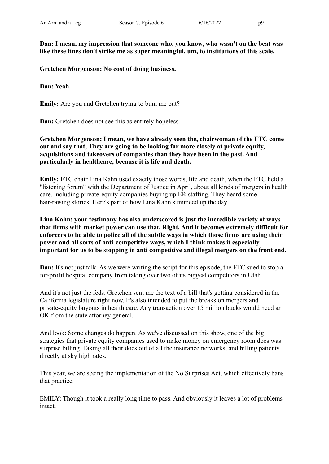**Dan: I mean, my impression that someone who, you know, who wasn't on the beat was like these fines don't strike me as super meaningful, um, to institutions of this scale.**

**Gretchen Morgenson: No cost of doing business.**

**Dan: Yeah.**

**Emily:** Are you and Gretchen trying to bum me out?

**Dan:** Gretchen does not see this as entirely hopeless.

**Gretchen Morgenson: I mean, we have already seen the, chairwoman of the FTC come out and say that, They are going to be looking far more closely at private equity, acquisitions and takeovers of companies than they have been in the past. And particularly in healthcare, because it is life and death.**

**Emily:** FTC chair Lina Kahn used exactly those words, life and death, when the FTC held a "listening forum" with the Department of Justice in April, about all kinds of mergers in health care, including private-equity companies buying up ER staffing. They heard some hair-raising stories. Here's part of how Lina Kahn summeed up the day.

**Lina Kahn: your testimony has also underscored is just the incredible variety of ways that firms with market power can use that. Right. And it becomes extremely difficult for enforcers to be able to police all of the subtle ways in which those firms are using their power and all sorts of anti-competitive ways, which I think makes it especially important for us to be stopping in anti competitive and illegal mergers on the front end.**

**Dan:** It's not just talk. As we were writing the script for this episode, the FTC sued to stop a for-profit hospital company from taking over two of its biggest competitors in Utah.

And it's not just the feds. Gretchen sent me the text of a bill that's getting considered in the California legislature right now. It's also intended to put the breaks on mergers and private-equity buyouts in health care. Any transaction over 15 million bucks would need an OK from the state attorney general.

And look: Some changes do happen. As we've discussed on this show, one of the big strategies that private equity companies used to make money on emergency room docs was surprise billing. Taking all their docs out of all the insurance networks, and billing patients directly at sky high rates.

This year, we are seeing the implementation of the No Surprises Act, which effectively bans that practice.

EMILY: Though it took a really long time to pass. And obviously it leaves a lot of problems intact.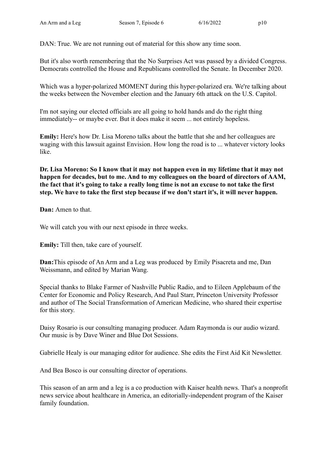DAN: True. We are not running out of material for this show any time soon.

But it's also worth remembering that the No Surprises Act was passed by a divided Congress. Democrats controlled the House and Republicans controlled the Senate. In December 2020.

Which was a hyper-polarized MOMENT during this hyper-polarized era. We're talking about the weeks between the November election and the January 6th attack on the U.S. Capitol.

I'm not saying our elected officials are all going to hold hands and do the right thing immediately-- or maybe ever. But it does make it seem ... not entirely hopeless.

**Emily:** Here's how Dr. Lisa Moreno talks about the battle that she and her colleagues are waging with this lawsuit against Envision. How long the road is to ... whatever victory looks like.

**Dr. Lisa Moreno: So I know that it may not happen even in my lifetime that it may not happen for decades, but to me. And to my colleagues on the board of directors of AAM, the fact that it's going to take a really long time is not an excuse to not take the first step. We have to take the first step because if we don't start it's, it will never happen.**

**Dan:** Amen to that.

We will catch you with our next episode in three weeks.

**Emily:** Till then, take care of yourself.

**Dan:**This episode of An Arm and a Leg was produced by Emily Pisacreta and me, Dan Weissmann, and edited by Marian Wang.

Special thanks to Blake Farmer of Nashville Public Radio, and to Eileen Applebaum of the Center for Economic and Policy Research, And Paul Starr, Princeton University Professor and author of The Social Transformation of American Medicine, who shared their expertise for this story.

Daisy Rosario is our consulting managing producer. Adam Raymonda is our audio wizard. Our music is by Dave Winer and Blue Dot Sessions.

Gabrielle Healy is our managing editor for audience. She edits the First Aid Kit Newsletter.

And Bea Bosco is our consulting director of operations.

This season of an arm and a leg is a co production with Kaiser health news. That's a nonprofit news service about healthcare in America, an editorially-independent program of the Kaiser family foundation.